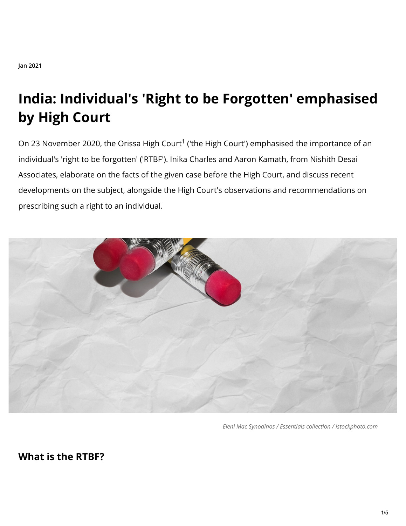# **India: Individual's 'Right to be Forgotten' emphasised by High Court**

On 23 November 2020, the Orissa High Court<sup>1</sup> ('the High Court') emphasised the importance of an individual's 'right to be forgotten' ('RTBF'). Inika Charles and Aaron Kamath, from Nishith Desai Associates, elaborate on the facts of the given case before the High Court, and discuss recent developments on the subject, alongside the High Court's observations and recommendations on prescribing such a right to an individual.



*Eleni Mac Synodinos / Essentials collection / istockphoto.com*

**What is the RTBF?**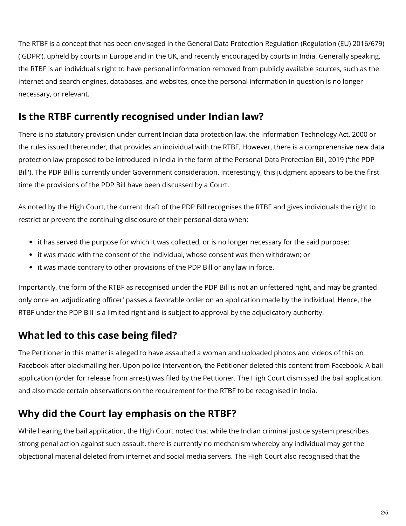The RTBF is a concept that has been envisaged in the General Data Protection Regulation (Regulation (EU) 2016/679) ('GDPR'), upheld by courts in Europe and in the UK, and recently encouraged by courts in India. Generally speaking, the RTBF is an individual's right to have personal information removed from publicly available sources, such as the internet and search engines, databases, and websites, once the personal information in question is no longer necessary, or relevant.

## **Is the RTBF currently recognised under Indian law?**

There is no statutory provision under current Indian data protection law, the Information Technology Act, 2000 or the rules issued thereunder, that provides an individual with the RTBF. However, there is a comprehensive new data protection law proposed to be introduced in India in the form of the Personal Data Protection Bill, 2019 ('the PDP Bill'). The PDP Bill is currently under Government consideration. Interestingly, this judgment appears to be the first time the provisions of the PDP Bill have been discussed by a Court.

As noted by the High Court, the current draft of the PDP Bill recognises the RTBF and gives individuals the right to restrict or prevent the continuing disclosure of their personal data when:

- it has served the purpose for which it was collected, or is no longer necessary for the said purpose;
- it was made with the consent of the individual, whose consent was then withdrawn; or
- it was made contrary to other provisions of the PDP Bill or any law in force.

Importantly, the form of the RTBF as recognised under the PDP Bill is not an unfettered right, and may be granted only once an 'adjudicating officer' passes a favorable order on an application made by the individual. Hence, the RTBF under the PDP Bill is a limited right and is subject to approval by the adjudicatory authority.

## **What led to this case being filed?**

The Petitioner in this matter is alleged to have assaulted a woman and uploaded photos and videos of this on Facebook after blackmailing her. Upon police intervention, the Petitioner deleted this content from Facebook. A bail application (order for release from arrest) was filed by the Petitioner. The High Court dismissed the bail application, and also made certain observations on the requirement for the RTBF to be recognised in India.

## **Why did the Court lay emphasis on the RTBF?**

While hearing the bail application, the High Court noted that while the Indian criminal justice system prescribes strong penal action against such assault, there is currently no mechanism whereby any individual may get the objectional material deleted from internet and social media servers. The High Court also recognised that the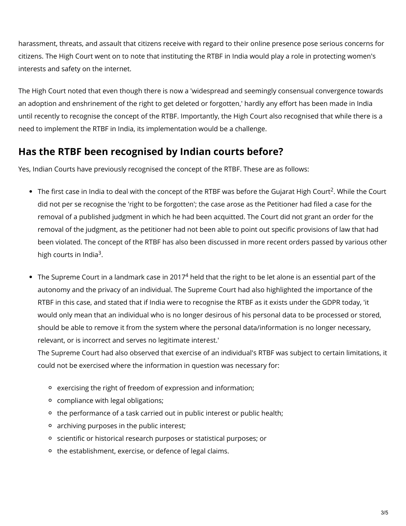harassment, threats, and assault that citizens receive with regard to their online presence pose serious concerns for citizens. The High Court went on to note that instituting the RTBF in India would play a role in protecting women's interests and safety on the internet.

The High Court noted that even though there is now a 'widespread and seemingly consensual convergence towards an adoption and enshrinement of the right to get deleted or forgotten,' hardly any effort has been made in India until recently to recognise the concept of the RTBF. Importantly, the High Court also recognised that while there is a need to implement the RTBF in India, its implementation would be a challenge.

## **Has the RTBF been recognised by Indian courts before?**

Yes, Indian Courts have previously recognised the concept of the RTBF. These are as follows:

- The first case in India to deal with the concept of the RTBF was before the Gujarat High Court<sup>2</sup>. While the Court did not per se recognise the 'right to be forgotten'; the case arose as the Petitioner had filed a case for the removal of a published judgment in which he had been acquitted. The Court did not grant an order for the removal of the judgment, as the petitioner had not been able to point out specific provisions of law that had been violated. The concept of the RTBF has also been discussed in more recent orders passed by various other high courts in India<sup>3</sup>.
- The Supreme Court in a landmark case in 2017 $^4$  held that the right to be let alone is an essential part of the autonomy and the privacy of an individual. The Supreme Court had also highlighted the importance of the RTBF in this case, and stated that if India were to recognise the RTBF as it exists under the GDPR today, 'it would only mean that an individual who is no longer desirous of his personal data to be processed or stored, should be able to remove it from the system where the personal data/information is no longer necessary, relevant, or is incorrect and serves no legitimate interest.'

The Supreme Court had also observed that exercise of an individual's RTBF was subject to certain limitations, it could not be exercised where the information in question was necessary for:

- exercising the right of freedom of expression and information;
- compliance with legal obligations;
- <sup>o</sup> the performance of a task carried out in public interest or public health;
- o archiving purposes in the public interest;
- o scientific or historical research purposes or statistical purposes; or
- the establishment, exercise, or defence of legal claims.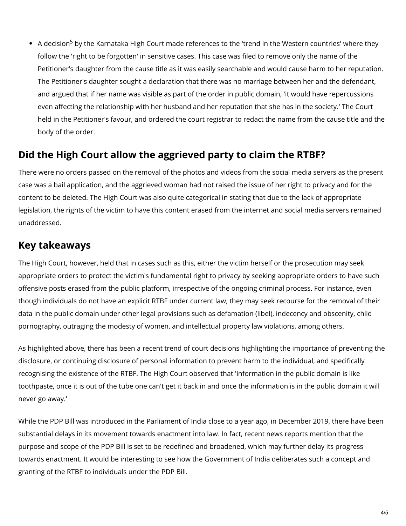A decision<sup>5</sup> by the Karnataka High Court made references to the 'trend in the Western countries' where they follow the 'right to be forgotten' in sensitive cases. This case was filed to remove only the name of the Petitioner's daughter from the cause title as it was easily searchable and would cause harm to her reputation. The Petitioner's daughter sought a declaration that there was no marriage between her and the defendant, and argued that if her name was visible as part of the order in public domain, 'it would have repercussions even affecting the relationship with her husband and her reputation that she has in the society.' The Court held in the Petitioner's favour, and ordered the court registrar to redact the name from the cause title and the body of the order.

#### **Did the High Court allow the aggrieved party to claim the RTBF?**

There were no orders passed on the removal of the photos and videos from the social media servers as the present case was a bail application, and the aggrieved woman had not raised the issue of her right to privacy and for the content to be deleted. The High Court was also quite categorical in stating that due to the lack of appropriate legislation, the rights of the victim to have this content erased from the internet and social media servers remained unaddressed.

#### **Key takeaways**

The High Court, however, held that in cases such as this, either the victim herself or the prosecution may seek appropriate orders to protect the victim's fundamental right to privacy by seeking appropriate orders to have such offensive posts erased from the public platform, irrespective of the ongoing criminal process. For instance, even though individuals do not have an explicit RTBF under current law, they may seek recourse for the removal of their data in the public domain under other legal provisions such as defamation (libel), indecency and obscenity, child pornography, outraging the modesty of women, and intellectual property law violations, among others.

As highlighted above, there has been a recent trend of court decisions highlighting the importance of preventing the disclosure, or continuing disclosure of personal information to prevent harm to the individual, and specifically recognising the existence of the RTBF. The High Court observed that 'information in the public domain is like toothpaste, once it is out of the tube one can't get it back in and once the information is in the public domain it will never go away.'

While the PDP Bill was introduced in the Parliament of India close to a year ago, in December 2019, there have been substantial delays in its movement towards enactment into law. In fact, recent news reports mention that the purpose and scope of the PDP Bill is set to be redefined and broadened, which may further delay its progress towards enactment. It would be interesting to see how the Government of India deliberates such a concept and granting of the RTBF to individuals under the PDP Bill.